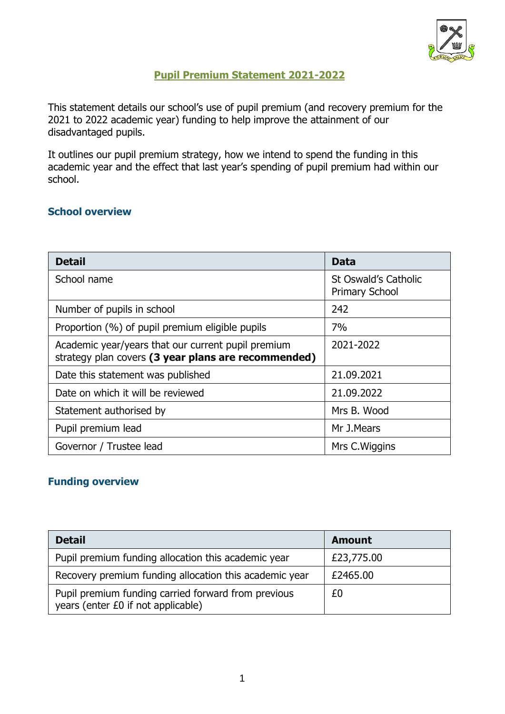

## **Pupil Premium Statement 2021-2022**

This statement details our school's use of pupil premium (and recovery premium for the 2021 to 2022 academic year) funding to help improve the attainment of our disadvantaged pupils.

It outlines our pupil premium strategy, how we intend to spend the funding in this academic year and the effect that last year's spending of pupil premium had within our school.

#### **School overview**

| <b>Detail</b>                                                                                             | Data                                          |
|-----------------------------------------------------------------------------------------------------------|-----------------------------------------------|
| School name                                                                                               | St Oswald's Catholic<br><b>Primary School</b> |
| Number of pupils in school                                                                                | 242                                           |
| Proportion (%) of pupil premium eligible pupils                                                           | 7%                                            |
| Academic year/years that our current pupil premium<br>strategy plan covers (3 year plans are recommended) | 2021-2022                                     |
| Date this statement was published                                                                         | 21.09.2021                                    |
| Date on which it will be reviewed                                                                         | 21.09.2022                                    |
| Statement authorised by                                                                                   | Mrs B. Wood                                   |
| Pupil premium lead                                                                                        | Mr J.Mears                                    |
| Governor / Trustee lead                                                                                   | Mrs C. Wiggins                                |

## **Funding overview**

| <b>Detail</b>                                                                             | <b>Amount</b> |
|-------------------------------------------------------------------------------------------|---------------|
| Pupil premium funding allocation this academic year                                       | £23,775.00    |
| Recovery premium funding allocation this academic year                                    | £2465.00      |
| Pupil premium funding carried forward from previous<br>years (enter £0 if not applicable) | £0            |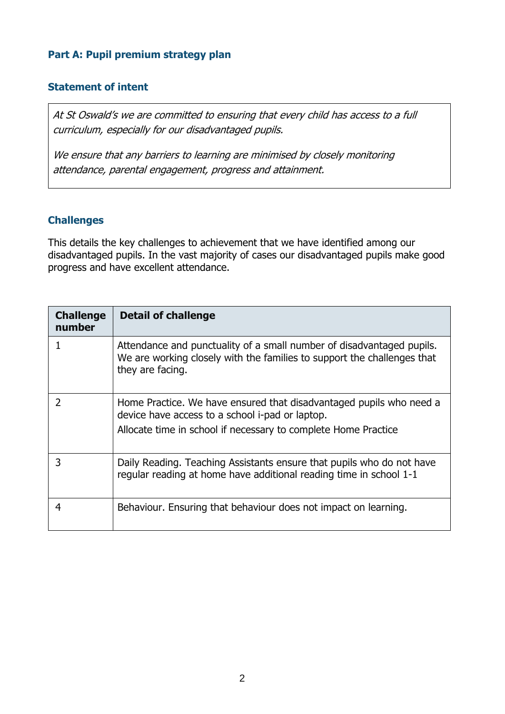#### **Part A: Pupil premium strategy plan**

#### **Statement of intent**

At St Oswald's we are committed to ensuring that every child has access to a full curriculum, especially for our disadvantaged pupils.

We ensure that any barriers to learning are minimised by closely monitoring attendance, parental engagement, progress and attainment.

## **Challenges**

This details the key challenges to achievement that we have identified among our disadvantaged pupils. In the vast majority of cases our disadvantaged pupils make good progress and have excellent attendance.

| <b>Challenge</b><br>number | <b>Detail of challenge</b>                                                                                                                                                               |
|----------------------------|------------------------------------------------------------------------------------------------------------------------------------------------------------------------------------------|
|                            | Attendance and punctuality of a small number of disadvantaged pupils.<br>We are working closely with the families to support the challenges that<br>they are facing.                     |
|                            | Home Practice. We have ensured that disadvantaged pupils who need a<br>device have access to a school i-pad or laptop.<br>Allocate time in school if necessary to complete Home Practice |
|                            | Daily Reading. Teaching Assistants ensure that pupils who do not have<br>regular reading at home have additional reading time in school 1-1                                              |
|                            | Behaviour. Ensuring that behaviour does not impact on learning.                                                                                                                          |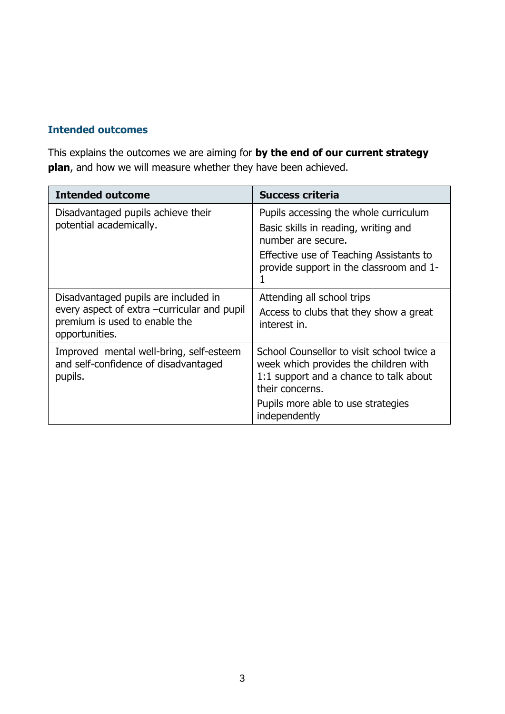# **Intended outcomes**

This explains the outcomes we are aiming for **by the end of our current strategy plan**, and how we will measure whether they have been achieved.

| <b>Intended outcome</b>                                                                                                                | <b>Success criteria</b>                                                                                                                                                                                |
|----------------------------------------------------------------------------------------------------------------------------------------|--------------------------------------------------------------------------------------------------------------------------------------------------------------------------------------------------------|
| Disadvantaged pupils achieve their<br>potential academically.                                                                          | Pupils accessing the whole curriculum<br>Basic skills in reading, writing and<br>number are secure.<br>Effective use of Teaching Assistants to<br>provide support in the classroom and 1-              |
| Disadvantaged pupils are included in<br>every aspect of extra -curricular and pupil<br>premium is used to enable the<br>opportunities. | Attending all school trips<br>Access to clubs that they show a great<br>interest in.                                                                                                                   |
| Improved mental well-bring, self-esteem<br>and self-confidence of disadvantaged<br>pupils.                                             | School Counsellor to visit school twice a<br>week which provides the children with<br>1:1 support and a chance to talk about<br>their concerns.<br>Pupils more able to use strategies<br>independently |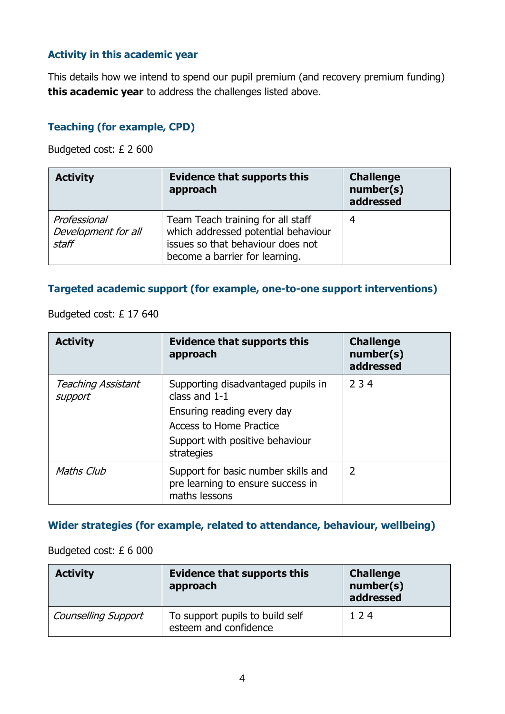# **Activity in this academic year**

This details how we intend to spend our pupil premium (and recovery premium funding) **this academic year** to address the challenges listed above.

## **Teaching (for example, CPD)**

Budgeted cost: £ 2 600

| <b>Activity</b>                              | <b>Evidence that supports this</b><br>approach                                                                                                  | <b>Challenge</b><br>number(s)<br>addressed |
|----------------------------------------------|-------------------------------------------------------------------------------------------------------------------------------------------------|--------------------------------------------|
| Professional<br>Development for all<br>staff | Team Teach training for all staff<br>which addressed potential behaviour<br>issues so that behaviour does not<br>become a barrier for learning. | 4                                          |

#### **Targeted academic support (for example, one-to-one support interventions)**

Budgeted cost: £ 17 640

| <b>Activity</b>                      | <b>Evidence that supports this</b><br>approach                                            | <b>Challenge</b><br>number(s)<br>addressed |
|--------------------------------------|-------------------------------------------------------------------------------------------|--------------------------------------------|
| <b>Teaching Assistant</b><br>support | Supporting disadvantaged pupils in<br>class and $1-1$                                     | 234                                        |
|                                      | Ensuring reading every day                                                                |                                            |
|                                      | <b>Access to Home Practice</b>                                                            |                                            |
|                                      | Support with positive behaviour<br>strategies                                             |                                            |
| Maths Club                           | Support for basic number skills and<br>pre learning to ensure success in<br>maths lessons | $\overline{2}$                             |

## **Wider strategies (for example, related to attendance, behaviour, wellbeing)**

#### Budgeted cost: £ 6 000

| <b>Activity</b>            | <b>Evidence that supports this</b><br>approach           | <b>Challenge</b><br>number(s)<br>addressed |
|----------------------------|----------------------------------------------------------|--------------------------------------------|
| <b>Counselling Support</b> | To support pupils to build self<br>esteem and confidence | 124                                        |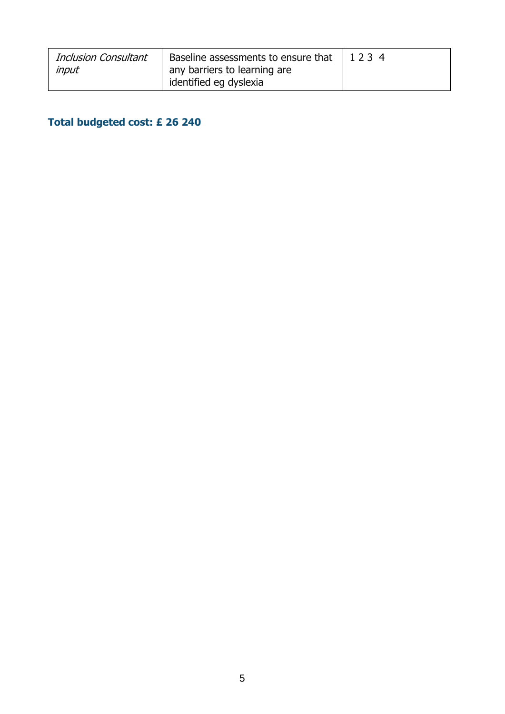| <b>Inclusion Consultant</b> |                              |  |
|-----------------------------|------------------------------|--|
| input                       | any barriers to learning are |  |
|                             | identified eg dyslexia       |  |

# **Total budgeted cost: £ 26 240**